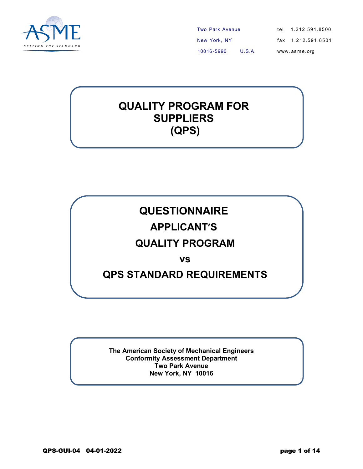

Two Park Avenue New York, NY 10016 -5990 U.S.A. tel 1.212.591.8500 fax 1.212.591.8501 www. as m e. org

# **QUALITY PROGRAM FOR SUPPLIERS (QPS)**

**QUESTIONNAIRE** 

### **APPLICANT'S**

## **QUALITY PROGRAM**

**vs** 

### **QPS STANDARD REQUIREMENTS**

**The American Society of Mechanical Engineers Conformity Assessment Department Two Park Avenue New York, NY 10016**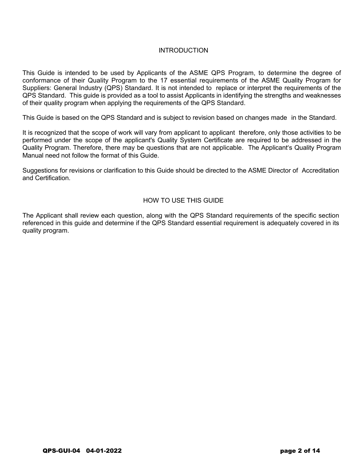#### **INTRODUCTION**

This Guide is intended to be used by Applicants of the ASME QPS Program, to determine the degree of conformance of their Quality Program to the 17 essential requirements of the ASME Quality Program for Suppliers: General Industry (QPS) Standard. It is not intended to replace or interpret the requirements of the QPS Standard. This guide is provided as a tool to assist Applicants in identifying the strengths and weaknesses of their quality program when applying the requirements of the QPS Standard.

This Guide is based on the QPS Standard and is subject to revision based on changes made in the Standard.

It is recognized that the scope of work will vary from applicant to applicant therefore, only those activities to be performed under the scope of the applicant's Quality System Certificate are required to be addressed in the Quality Program. Therefore, there may be questions that are not applicable. The Applicant's Quality Program Manual need not follow the format of this Guide.

Suggestions for revisions or clarification to this Guide should be directed to the ASME Director of Accreditation and Certification.

#### HOW TO USE THIS GUIDE

The Applicant shall review each question, along with the QPS Standard requirements of the specific section referenced in this guide and determine if the QPS Standard essential requirement is adequately covered in its quality program.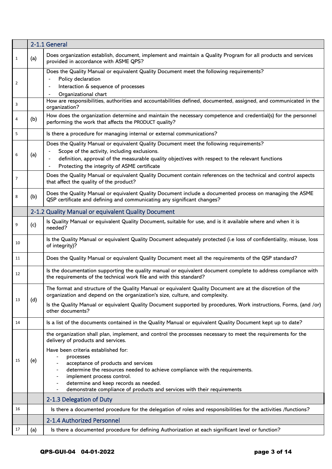|    |     | 2-1.1 General                                                                                                                                                                                                                                                                                                            |
|----|-----|--------------------------------------------------------------------------------------------------------------------------------------------------------------------------------------------------------------------------------------------------------------------------------------------------------------------------|
| 1  | (a) | Does organization establish, document, implement and maintain a Quality Program for all products and services<br>provided in accordance with ASME QPS?                                                                                                                                                                   |
| 2  |     | Does the Quality Manual or equivalent Quality Document meet the following requirements?<br>Policy declaration<br>Interaction & sequence of processes                                                                                                                                                                     |
| 3  |     | Organizational chart<br>How are responsibilities, authorities and accountabilities defined, documented, assigned, and communicated in the<br>organization?                                                                                                                                                               |
| 4  | (b) | How does the organization determine and maintain the necessary competence and credential(s) for the personnel<br>performing the work that affects the PRODUCT quality?                                                                                                                                                   |
| 5  |     | Is there a procedure for managing internal or external communications?                                                                                                                                                                                                                                                   |
| 6  | (a) | Does the Quality Manual or equivalent Quality Document meet the following requirements?<br>Scope of the activity, including exclusions.<br>definition, approval of the measurable quality objectives with respect to the relevant functions<br>Protecting the integrity of ASME certificate                              |
| 7  |     | Does the Quality Manual or equivalent Quality Document contain references on the technical and control aspects<br>that affect the quality of the product?                                                                                                                                                                |
| 8  | (b) | Does the Quality Manual or equivalent Quality Document include a documented process on managing the ASME<br>QSP certificate and defining and communicating any significant changes?                                                                                                                                      |
|    |     | 2-1.2 Quality Manual or equivalent Quality Document                                                                                                                                                                                                                                                                      |
| 9  | (c) | Is Quality Manual or equivalent Quality Document, suitable for use, and is it available where and when it is<br>needed?                                                                                                                                                                                                  |
| 10 |     | Is the Quality Manual or equivalent Quality Document adequately protected (i.e loss of confidentiality, misuse, loss<br>of integrity)?                                                                                                                                                                                   |
| 11 |     | Does the Quality Manual or equivalent Quality Document meet all the requirements of the QSP standard?                                                                                                                                                                                                                    |
| 12 |     | Is the documentation supporting the quality manual or equivalent document complete to address compliance with<br>the requirements of the technical work file and with this standard?                                                                                                                                     |
| 13 | (d) | The format and structure of the Quality Manual or equivalent Quality Document are at the discretion of the<br>organization and depend on the organization's size, culture, and complexity.                                                                                                                               |
|    |     | Is the Quality Manual or equivalent Quality Document supported by procedures, Work instructions, Forms, (and /or)<br>other documents?                                                                                                                                                                                    |
| 14 |     | Is a list of the documents contained in the Quality Manual or equivalent Quality Document kept up to date?                                                                                                                                                                                                               |
|    |     | the organization shall plan, implement, and control the processes necessary to meet the requirements for the<br>delivery of products and services.                                                                                                                                                                       |
| 15 | (e) | Have been criteria established for:<br>processes<br>acceptance of products and services<br>determine the resources needed to achieve compliance with the requirements.<br>implement process control.<br>determine and keep records as needed.<br>demonstrate compliance of products and services with their requirements |
|    |     | 2-1.3 Delegation of Duty                                                                                                                                                                                                                                                                                                 |
| 16 |     | Is there a documented procedure for the delegation of roles and responsibilities for the activities /functions?                                                                                                                                                                                                          |
|    |     | 2-1.4 Authorized Personnel                                                                                                                                                                                                                                                                                               |
| 17 | (a) | Is there a documented procedure for defining Authorization at each significant level or function?                                                                                                                                                                                                                        |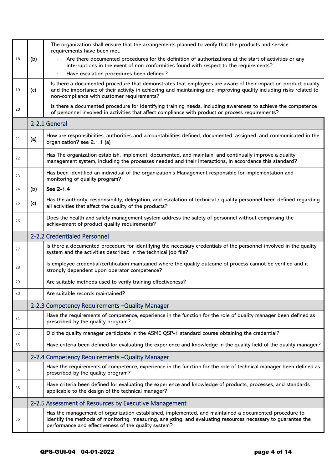|    |     | The organization shall ensure that the arrangements planned to verify that the products and service<br>requirements have been met.                                                                                                                                                |
|----|-----|-----------------------------------------------------------------------------------------------------------------------------------------------------------------------------------------------------------------------------------------------------------------------------------|
| 18 | (b) | Are there documented procedures for the definition of authorizations at the start of activities or any<br>interruptions in the event of non-conformities found with respect to the requirements?                                                                                  |
|    |     | Have escalation procedures been defined?<br>$\blacksquare$                                                                                                                                                                                                                        |
| 19 | (c) | Is there a documented procedure that demonstrates that employees are aware of their impact on product quality<br>and the importance of their activity in achieving and maintaining and improving quality including risks related to<br>non-compliance with customer requirements? |
| 20 |     | Is there a documented procedure for identifying training needs, including awareness to achieve the competence<br>of personnel involved in activities that affect compliance with product or process requirements?                                                                 |
|    |     | 2-2.1 General                                                                                                                                                                                                                                                                     |
| 21 | (a) | How are responsibilities, authorities and accountabilities defined, documented, assigned, and communicated in the<br>organization? see 2.1.1 (a)                                                                                                                                  |
| 22 |     | Has The organization establish, implement, documented, and maintain, and continually improve a quality<br>management system, including the processes needed and their interactions, in accordance this standard?                                                                  |
| 23 |     | Has been identified an individual of the organization's Management responsible for implementation and<br>monitoring of quality program?                                                                                                                                           |
| 24 | (b) | See 2-1.4                                                                                                                                                                                                                                                                         |
| 25 | (c) | Has the authority, responsibility, delegation, and escalation of technical / quality personnel been defined regarding<br>all activities that affect the quality of the products?                                                                                                  |
| 26 |     | Does the health and safety management system address the safety of personnel without comprising the<br>achievement of product quality requirements?                                                                                                                               |
|    |     | 2-2.2 Credentialed Personnel                                                                                                                                                                                                                                                      |
| 27 |     | Is there a documented procedure for identifying the necessary credentials of the personnel involved in the quality<br>system and the activities described in the technical job file?                                                                                              |
| 28 |     | Is employee credential/certification maintained where the quality outcome of process cannot be verified and it<br>strongly dependent upon operator competence?                                                                                                                    |
| 29 |     | Are suitable methods used to verify training effectiveness?                                                                                                                                                                                                                       |
| 30 |     | Are suitable records maintained?                                                                                                                                                                                                                                                  |
|    |     | 2-2.3 Competency Requirements - Quality Manager                                                                                                                                                                                                                                   |
| 31 |     | Have the requirements of competence, experience in the function for the role of quality manager been defined as<br>prescribed by the quality program?                                                                                                                             |
| 32 |     | Did the quality manager participate in the ASME QSP-1 standard course obtaining the credential?                                                                                                                                                                                   |
| 33 |     | Have criteria been defined for evaluating the experience and knowledge in the quality field of the quality manager?                                                                                                                                                               |
|    |     | 2-2.4 Competency Requirements - Quality Manager                                                                                                                                                                                                                                   |
| 34 |     | Have the requirements of competence, experience in the function for the role of technical manager been defined as<br>prescribed by the quality program?                                                                                                                           |
| 35 |     | Have criteria been defined for evaluating the experience and knowledge of products, processes, and standards<br>applicable to the design of the technical manager?                                                                                                                |
|    |     | 2-2.5 Assessment of Resources by Executive Management                                                                                                                                                                                                                             |
| 36 |     | Has the management of organization established, implemented, and maintained a documented procedure to<br>identify the methods of monitoring, measuring, analyzing, and evaluating resources necessary to guarantee the<br>performance and effectiveness of the quality system?    |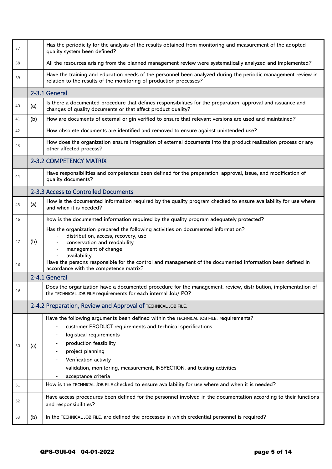| 37 |     | Has the periodicity for the analysis of the results obtained from monitoring and measurement of the adopted<br>quality system been defined?                                                                                                                                                                                       |
|----|-----|-----------------------------------------------------------------------------------------------------------------------------------------------------------------------------------------------------------------------------------------------------------------------------------------------------------------------------------|
| 38 |     | All the resources arising from the planned management review were systematically analyzed and implemented?                                                                                                                                                                                                                        |
| 39 |     | Have the training and education needs of the personnel been analyzed during the periodic management review in<br>relation to the results of the monitoring of production processes?                                                                                                                                               |
|    |     | 2-3.1 General                                                                                                                                                                                                                                                                                                                     |
| 40 | (a) | Is there a documented procedure that defines responsibilities for the preparation, approval and issuance and<br>changes of quality documents or that affect product quality?                                                                                                                                                      |
| 41 | (b) | How are documents of external origin verified to ensure that relevant versions are used and maintained?                                                                                                                                                                                                                           |
| 42 |     | How obsolete documents are identified and removed to ensure against unintended use?                                                                                                                                                                                                                                               |
| 43 |     | How does the organization ensure integration of external documents into the product realization process or any<br>other affected process?                                                                                                                                                                                         |
|    |     | <b>2-3.2 COMPETENCY MATRIX</b>                                                                                                                                                                                                                                                                                                    |
| 44 |     | Have responsibilities and competences been defined for the preparation, approval, issue, and modification of<br>quality documents?                                                                                                                                                                                                |
|    |     | 2-3.3 Access to Controlled Documents                                                                                                                                                                                                                                                                                              |
| 45 | (a) | How is the documented information required by the quality program checked to ensure availability for use where<br>and when it is needed?                                                                                                                                                                                          |
| 46 |     | how is the documented information required by the quality program adequately protected?                                                                                                                                                                                                                                           |
| 47 | (b) | Has the organization prepared the following activities on documented information?<br>distribution, access, recovery, use<br>conservation and readability<br>management of change<br>availability                                                                                                                                  |
| 48 |     | Have the persons responsible for the control and management of the documented information been defined in<br>accordance with the competence matrix?                                                                                                                                                                               |
|    |     | 2-4.1 General                                                                                                                                                                                                                                                                                                                     |
| 49 |     | Does the organization have a documented procedure for the management, review, distribution, implementation of<br>the TECHNICAL JOB FILE requirements for each internal Job/ PO?                                                                                                                                                   |
|    |     | 2-4.2 Preparation, Review and Approval of TECHNICAL JOB FILE.                                                                                                                                                                                                                                                                     |
| 50 | (a) | Have the following arguments been defined within the TECHNICAL JOB FILE. requirements?<br>customer PRODUCT requirements and technical specifications<br>logistical requirements<br>production feasibility<br>project planning<br>Verification activity<br>validation, monitoring, measurement, INSPECTION, and testing activities |
|    |     | acceptance criteria                                                                                                                                                                                                                                                                                                               |
| 51 |     | How is the TECHNICAL JOB FILE checked to ensure availability for use where and when it is needed?                                                                                                                                                                                                                                 |
| 52 |     | Have access procedures been defined for the personnel involved in the documentation according to their functions<br>and responsibilities?                                                                                                                                                                                         |
| 53 | (b) | In the TECHNICAL JOB FILE. are defined the processes in which credential personnel is required?                                                                                                                                                                                                                                   |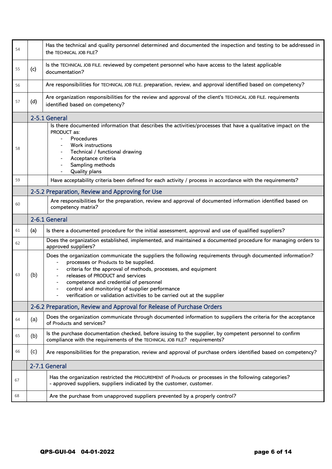| 54 |                                                                       | Has the technical and quality personnel determined and documented the inspection and testing to be addressed in<br>the TECHNICAL JOB FILE?                                                                                                                                                                                                                                                                                       |
|----|-----------------------------------------------------------------------|----------------------------------------------------------------------------------------------------------------------------------------------------------------------------------------------------------------------------------------------------------------------------------------------------------------------------------------------------------------------------------------------------------------------------------|
| 55 | (c)                                                                   | Is the TECHNICAL JOB FILE. reviewed by competent personnel who have access to the latest applicable<br>documentation?                                                                                                                                                                                                                                                                                                            |
| 56 |                                                                       | Are responsibilities for TECHNICAL JOB FILE. preparation, review, and approval identified based on competency?                                                                                                                                                                                                                                                                                                                   |
| 57 | (d)                                                                   | Are organization responsibilities for the review and approval of the client's TECHNICAL JOB FILE. requirements<br>identified based on competency?                                                                                                                                                                                                                                                                                |
|    |                                                                       | 2-5.1 General                                                                                                                                                                                                                                                                                                                                                                                                                    |
| 58 |                                                                       | Is there documented information that describes the activities/processes that have a qualitative impact on the<br>PRODUCT as:<br>Procedures<br>Work instructions<br>Technical / functional drawing<br>Acceptance criteria<br>Sampling methods<br>Quality plans                                                                                                                                                                    |
| 59 |                                                                       | Have acceptability criteria been defined for each activity / process in accordance with the requirements?                                                                                                                                                                                                                                                                                                                        |
|    |                                                                       | 2-5.2 Preparation, Review and Approving for Use                                                                                                                                                                                                                                                                                                                                                                                  |
| 60 |                                                                       | Are responsibilities for the preparation, review and approval of documented information identified based on<br>competency matrix?                                                                                                                                                                                                                                                                                                |
|    | 2-6.1 General                                                         |                                                                                                                                                                                                                                                                                                                                                                                                                                  |
| 61 | (a)                                                                   | Is there a documented procedure for the initial assessment, approval and use of qualified suppliers?                                                                                                                                                                                                                                                                                                                             |
| 62 |                                                                       | Does the organization established, implemented, and maintained a documented procedure for managing orders to<br>approved suppliers?                                                                                                                                                                                                                                                                                              |
| 63 | (b)                                                                   | Does the organization communicate the suppliers the following requirements through documented information?<br>processes or Products to be supplied.<br>criteria for the approval of methods, processes, and equipment<br>releases of PRODUCT and services<br>competence and credential of personnel<br>control and monitoring of supplier performance<br>verification or validation activities to be carried out at the supplier |
|    | 2-6.2 Preparation, Review and Approval for Release of Purchase Orders |                                                                                                                                                                                                                                                                                                                                                                                                                                  |
| 64 | (a)                                                                   | Does the organization communicate through documented information to suppliers the criteria for the acceptance<br>of Products and services?                                                                                                                                                                                                                                                                                       |
| 65 | (b)                                                                   | Is the purchase documentation checked, before issuing to the supplier, by competent personnel to confirm<br>compliance with the requirements of the TECHNICAL JOB FILE? requirements?                                                                                                                                                                                                                                            |
| 66 | (c)                                                                   | Are responsibilities for the preparation, review and approval of purchase orders identified based on competency?                                                                                                                                                                                                                                                                                                                 |
|    |                                                                       | 2-7.1 General                                                                                                                                                                                                                                                                                                                                                                                                                    |
| 67 |                                                                       | Has the organization restricted the PROCUREMENT of Products or processes in the following categories?<br>- approved suppliers, suppliers indicated by the customer, customer.                                                                                                                                                                                                                                                    |
| 68 |                                                                       | Are the purchase from unapproved suppliers prevented by a properly control?                                                                                                                                                                                                                                                                                                                                                      |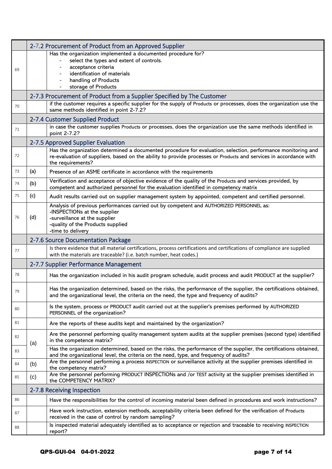|    | 2-7.2 Procurement of Product from an Approved Supplier |                                                                                                                                                                                                                                                        |  |
|----|--------------------------------------------------------|--------------------------------------------------------------------------------------------------------------------------------------------------------------------------------------------------------------------------------------------------------|--|
|    |                                                        | Has the organization implemented a documented procedure for?                                                                                                                                                                                           |  |
|    |                                                        | select the types and extent of controls.                                                                                                                                                                                                               |  |
| 69 |                                                        | acceptance criteria<br>identification of materials                                                                                                                                                                                                     |  |
|    |                                                        | handling of Products                                                                                                                                                                                                                                   |  |
|    |                                                        | storage of Products                                                                                                                                                                                                                                    |  |
|    |                                                        | 2-7.3 Procurement of Product from a Supplier Specified by The Customer                                                                                                                                                                                 |  |
| 70 |                                                        | if the customer requires a specific supplier for the supply of Products or processes, does the organization use the<br>same methods identified in point 2-7.2?                                                                                         |  |
|    |                                                        | 2-7.4 Customer Supplied Product                                                                                                                                                                                                                        |  |
| 71 |                                                        | in case the customer supplies Products or processes, does the organization use the same methods identified in<br>point 2-7.2?                                                                                                                          |  |
|    |                                                        | 2-7.5 Approved Supplier Evaluation                                                                                                                                                                                                                     |  |
| 72 |                                                        | Has the organization determined a documented procedure for evaluation, selection, performance monitoring and<br>re-evaluation of suppliers, based on the ability to provide processes or Products and services in accordance with<br>the requirements? |  |
| 73 | (a)                                                    | Presence of an ASME certificate in accordance with the requirements                                                                                                                                                                                    |  |
| 74 | (b)                                                    | Verification and acceptance of objective evidence of the quality of the Products and services provided, by<br>competent and authorized personnel for the evaluation identified in competency matrix                                                    |  |
| 75 | (c)                                                    | Audit results carried out on supplier management system by appointed, competent and certified personnel.                                                                                                                                               |  |
| 76 | (d)                                                    | Analysis of previous performances carried out by competent and AUTHORIZED PERSONNEL as:<br>-INSPECTIONs at the supplier<br>-surveillance at the supplier<br>-quality of the Products supplied<br>-time to delivery                                     |  |
|    |                                                        | 2-7.6 Source Documentation Package                                                                                                                                                                                                                     |  |
| 77 |                                                        | Is there evidence that all material certifications, process certifications and certifications of compliance are supplied<br>with the materials are traceable? (i.e. batch number, heat codes.)                                                         |  |
|    |                                                        | 2-7.7 Supplier Performance Management                                                                                                                                                                                                                  |  |
| 78 |                                                        | Has the organization included in his audit program schedule, audit process and audit PRODUCT at the supplier?                                                                                                                                          |  |
| 79 |                                                        | Has the organization determined, based on the risks, the performance of the supplier, the certifications obtained,<br>and the organizational level, the criteria on the need, the type and frequency of audits?                                        |  |
| 80 |                                                        | Is the system, process or PRODUCT audit carried out at the supplier's premises performed by AUTHORIZED<br>PERSONNEL of the organization?                                                                                                               |  |
| 81 |                                                        | Are the reports of these audits kept and maintained by the organization?                                                                                                                                                                               |  |
| 82 | (a)                                                    | Are the personnel performing quality management system audits at the supplier premises (second type) identified<br>in the competence matrix?                                                                                                           |  |
| 83 |                                                        | Has the organization determined, based on the risks, the performance of the supplier, the certifications obtained,<br>and the organizational level, the criteria on the need, type, and frequency of audits?                                           |  |
| 84 | (b)                                                    | Are the personnel performing a process INSPECTION or surveillance activity at the supplier premises identified in<br>the competency matrix?                                                                                                            |  |
| 85 | (c)                                                    | Are the personnel performing PRODUCT INSPECTIONs and /or TEST activity at the supplier premises identified in<br>the COMPETENCY MATRIX?                                                                                                                |  |
|    |                                                        | 2-7.8 Receiving Inspection                                                                                                                                                                                                                             |  |
| 86 |                                                        | Have the responsibilities for the control of incoming material been defined in procedures and work instructions?                                                                                                                                       |  |
| 87 |                                                        | Have work instruction, extension methods, acceptability criteria been defined for the verification of Products<br>received in the case of control by random sampling?                                                                                  |  |
| 88 |                                                        | Is inspected material adequately identified as to acceptance or rejection and traceable to receiving INSPECTION<br>report?                                                                                                                             |  |

ś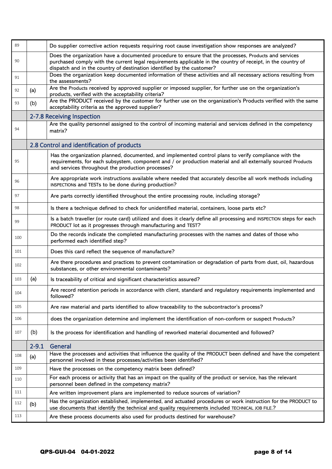| 89  |           | Do supplier corrective action requests requiring root cause investigation show responses are analyzed?                                                                                                                                                                                          |
|-----|-----------|-------------------------------------------------------------------------------------------------------------------------------------------------------------------------------------------------------------------------------------------------------------------------------------------------|
| 90  |           | Does the organization have a documented procedure to ensure that the processes, Products and services<br>purchased comply with the current legal requirements applicable in the country of receipt, in the country of<br>dispatch and in the country of destination identified by the customer? |
| 91  |           | Does the organization keep documented information of these activities and all necessary actions resulting from<br>the assessments?                                                                                                                                                              |
| 92  | (a)       | Are the Products received by approved supplier or imposed supplier, for further use on the organization's<br>products, verified with the acceptability criteria?                                                                                                                                |
| 93  | (b)       | Are the PRODUCT received by the customer for further use on the organization's Products verified with the same<br>acceptability criteria as the approved supplier?                                                                                                                              |
|     |           | 2-7.8 Receiving Inspection                                                                                                                                                                                                                                                                      |
| 94  |           | Are the quality personnel assigned to the control of incoming material and services defined in the competency<br>matrix?                                                                                                                                                                        |
|     |           | 2.8 Control and identification of products                                                                                                                                                                                                                                                      |
| 95  |           | Has the organization planned, documented, and implemented control plans to verify compliance with the<br>requirements, for each subsystem, component and / or production material and all externally sourced Products<br>and services throughout the production processes?                      |
| 96  |           | Are appropriate work instructions available where needed that accurately describe all work methods including<br>INSPECTIONs and TESTs to be done during production?                                                                                                                             |
| 97  |           | Are parts correctly identified throughout the entire processing route, including storage?                                                                                                                                                                                                       |
| 98  |           | Is there a technique defined to check for unidentified material, containers, loose parts etc?                                                                                                                                                                                                   |
| 99  |           | Is a batch traveller (or route card) utilized and does it clearly define all processing and INSPECTION steps for each<br>PRODUCT lot as it progresses through manufacturing and TEST?                                                                                                           |
| 100 |           | Do the records indicate the completed manufacturing processes with the names and dates of those who<br>performed each identified step?                                                                                                                                                          |
| 101 |           | Does this card reflect the sequence of manufacture?                                                                                                                                                                                                                                             |
| 102 |           | Are there procedures and practices to prevent contamination or degradation of parts from dust, oil, hazardous<br>substances, or other environmental contaminants?                                                                                                                               |
| 103 | (a)       | Is traceability of critical and significant characteristics assured?                                                                                                                                                                                                                            |
| 104 |           | Are record retention periods in accordance with client, standard and regulatory requirements implemented and<br>followed?                                                                                                                                                                       |
| 105 |           | Are raw material and parts identified to allow traceability to the subcontractor's process?                                                                                                                                                                                                     |
| 106 |           | does the organization determine and implement the identification of non-conform or suspect Products?                                                                                                                                                                                            |
| 107 | (b)       | Is the process for identification and handling of reworked material documented and followed?                                                                                                                                                                                                    |
|     | $2 - 9.1$ | General                                                                                                                                                                                                                                                                                         |
| 108 | (a)       | Have the processes and activities that influence the quality of the PRODUCT been defined and have the competent<br>personnel involved in these processes/activities been identified?                                                                                                            |
| 109 |           | Have the processes on the competency matrix been defined?                                                                                                                                                                                                                                       |
| 110 |           | For each process or activity that has an impact on the quality of the product or service, has the relevant<br>personnel been defined in the competency matrix?                                                                                                                                  |
| 111 |           | Are written improvement plans are implemented to reduce sources of variation?                                                                                                                                                                                                                   |
| 112 | (b)       | Has the organization established, implemented, and actuated procedures or work instruction for the PRODUCT to<br>use documents that identify the technical and quality requirements included TECHNICAL JOB FILE.?                                                                               |
| 113 |           | Are these process documents also used for products destined for warehouse?                                                                                                                                                                                                                      |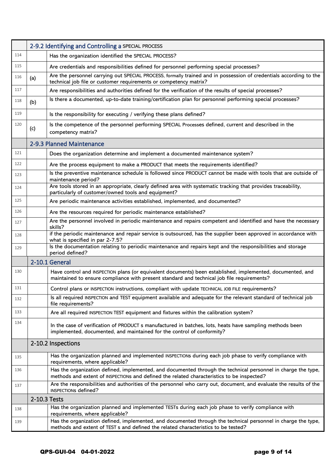|     | 2-9.2 Identifying and Controlling a SPECIAL PROCESS |                                                                                                                                                                                                             |
|-----|-----------------------------------------------------|-------------------------------------------------------------------------------------------------------------------------------------------------------------------------------------------------------------|
| 114 |                                                     | Has the organization identified the SPECIAL PROCESS?                                                                                                                                                        |
| 115 |                                                     | Are credentials and responsibilities defined for personnel performing special processes?                                                                                                                    |
| 116 | (a)                                                 | Are the personnel carrying out SPECIAL PROCESS, formally trained and in possession of credentials according to the<br>technical job file or customer requirements or competency matrix?                     |
| 117 |                                                     | Are responsibilities and authorities defined for the verification of the results of special processes?                                                                                                      |
| 118 | (b)                                                 | Is there a documented, up-to-date training/certification plan for personnel performing special processes?                                                                                                   |
| 119 |                                                     | Is the responsibility for executing / verifying these plans defined?                                                                                                                                        |
| 120 | (c)                                                 | Is the competence of the personnel performing SPECIAL Processes defined, current and described in the<br>competency matrix?                                                                                 |
|     |                                                     | 2-9.3 Planned Maintenance                                                                                                                                                                                   |
| 121 |                                                     | Does the organization determine and implement a documented maintenance system?                                                                                                                              |
| 122 |                                                     | Are the process equipment to make a PRODUCT that meets the requirements identified?                                                                                                                         |
| 123 |                                                     | Is the preventive maintenance schedule is followed since PRODUCT cannot be made with tools that are outside of<br>maintenance period?                                                                       |
| 124 |                                                     | Are tools stored in an appropriate, clearly defined area with systematic tracking that provides traceability,<br>particularly of customer/owned tools and equipment?                                        |
| 125 |                                                     | Are periodic maintenance activities established, implemented, and documented?                                                                                                                               |
| 126 |                                                     | Are the resources required for periodic maintenance established?                                                                                                                                            |
| 127 |                                                     | Are the personnel involved in periodic maintenance and repairs competent and identified and have the necessary<br>skills?                                                                                   |
| 128 |                                                     | if the periodic maintenance and repair service is outsourced, has the supplier been approved in accordance with<br>what is specified in par 2-7.5?                                                          |
| 129 |                                                     | Is the documentation relating to periodic maintenance and repairs kept and the responsibilities and storage<br>period defined?                                                                              |
|     |                                                     | 2-10.1 General                                                                                                                                                                                              |
| 130 |                                                     | Have control and INSPECTION plans (or equivalent documents) been established, implemented, documented, and<br>maintained to ensure compliance with present standard and technical job file requirements?    |
| 131 |                                                     | Control plans or INSPECTION instructions, compliant with update TECHNICAL JOB FILE requirements?                                                                                                            |
| 132 |                                                     | Is all required INSPECTION and TEST equipment available and adequate for the relevant standard of technical job<br>file requirements?                                                                       |
| 133 |                                                     | Are all required INSPECTION TEST equipment and fixtures within the calibration system?                                                                                                                      |
| 134 |                                                     | In the case of verification of PRODUCT s manufactured in batches, lots, heats have sampling methods been<br>implemented, documented, and maintained for the control of conformity?                          |
|     |                                                     | 2-10.2 Inspections                                                                                                                                                                                          |
| 135 |                                                     | Has the organization planned and implemented INSPECTIONs during each job phase to verify compliance with<br>requirements, where applicable?                                                                 |
| 136 |                                                     | Has the organization defined, implemented, and documented through the technical personnel in charge the type,<br>methods and extent of INSPECTIONs and defined the related characteristics to be inspected? |
| 137 |                                                     | Are the responsibilities and authorities of the personnel who carry out, document, and evaluate the results of the<br>INSPECTIONs defined?                                                                  |
|     |                                                     | 2-10.3 Tests                                                                                                                                                                                                |
| 138 |                                                     | Has the organization planned and implemented TESTs during each job phase to verify compliance with<br>requirements, where applicable?                                                                       |
| 139 |                                                     | Has the organization defined, implemented, and documented through the technical personnel in charge the type,<br>methods and extent of TEST s and defined the related characteristics to be tested?         |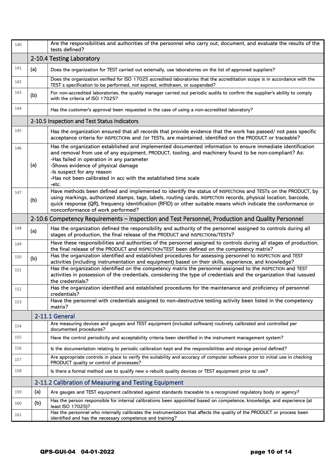| 140 |     | Are the responsibilities and authorities of the personnel who carry out, document, and evaluate the results of the<br>tests defined?                                                                                                                                                                                                                                                                             |
|-----|-----|------------------------------------------------------------------------------------------------------------------------------------------------------------------------------------------------------------------------------------------------------------------------------------------------------------------------------------------------------------------------------------------------------------------|
|     |     | 2-10.4 Testing Laboratory                                                                                                                                                                                                                                                                                                                                                                                        |
| 141 | (a) | Does the organization for TEST carried out externally, use laboratories on the list of approved suppliers?                                                                                                                                                                                                                                                                                                       |
| 142 |     | Does the organization verified for ISO 17025 accredited laboratories that the accreditation scope is in accordance with the<br>TEST s specification to be performed, not expired, withdrawn, or suspended?                                                                                                                                                                                                       |
| 143 | (b) | For non-accredited laboratories, the quality manager carried out periodic audits to confirm the supplier's ability to comply<br>with the criteria of ISO 17025?                                                                                                                                                                                                                                                  |
| 144 |     | Has the customer's approval been requested in the case of using a non-accredited laboratory?                                                                                                                                                                                                                                                                                                                     |
|     |     | 2-10.5 Inspection and Test Status Indicators                                                                                                                                                                                                                                                                                                                                                                     |
| 145 |     | Has the organization ensured that all records that provide evidence that the work has passed/ not pass specific<br>acceptance criteria for INSPECTIONs and /or TESTs, are maintained, identified on the PRODUCT or traceable?                                                                                                                                                                                    |
| 146 | (a) | Has the organization established and implemented documented information to ensure immediate identification<br>and removal from use of any equipment, PRODUCT, tooling, and machinery found to be non-compliant? As:<br>-Has failed in operation in any parameter<br>-Shows evidence of physical damage<br>-Is suspect for any reason<br>-Has not been calibrated in acc with the established time scale<br>-etc. |
| 147 | (b) | Have methods been defined and implemented to identify the status of INSPECTIONs and TESTs on the PRODUCT, by<br>using markings, authorized stamps, tags, labels, routing cards, INSPECTION records, physical location, barcode,<br>quick response (QR), frequency identification (RFID) or other suitable means which indicate the conformance or<br>nonconformance of work performed?                           |
|     |     | 2-10.6 Competency Requirements - Inspection and Test Personnel, Production and Quality Personnel                                                                                                                                                                                                                                                                                                                 |
| 148 | (a) | Has the organization defined the responsibility and authority of the personnel assigned to controls during all<br>stages of production, the final release of the PRODUCT and INSPECTIONS/TESTs?                                                                                                                                                                                                                  |
| 149 |     | Have these responsibilities and authorities of the personnel assigned to controls during all stages of production,<br>the final release of the PRODUCT and INSPECTION/TEST been defined on the competency matrix?                                                                                                                                                                                                |
| 150 | (b) | Has the organization identified and established procedures for assessing personnel to INSPECTION and TEST<br>activities (including instrumentation and equipment) based on their skills, experience, and knowledge?                                                                                                                                                                                              |
| 151 |     | Has the organization identified on the competency matrix the personnel assigned to the INSPECTION and TEST<br>activities in possession of the credentials, considering the type of credentials and the organization that iussued<br>the credentials?                                                                                                                                                             |
| 152 |     | Has the organization identified and established procedures for the maintenance and proficiency of personnel<br>credentials?                                                                                                                                                                                                                                                                                      |
| 153 |     | Have the personnel with credentials assigned to non-destructive testing activity been listed in the competency<br>matrix?                                                                                                                                                                                                                                                                                        |
|     |     | 2-11.1 General                                                                                                                                                                                                                                                                                                                                                                                                   |
| 154 |     | Are measuring devices and gauges and TEST equipment (included software) routinely calibrated and controlled per<br>documented procedures?                                                                                                                                                                                                                                                                        |
| 155 |     | Have the control periodicity and acceptability criteria been identified in the instrument management system?                                                                                                                                                                                                                                                                                                     |
| 156 |     | Is the documentation relating to periodic calibration kept and the responsibilities and storage period defined?                                                                                                                                                                                                                                                                                                  |
| 157 |     | Are appropriate controls in place to verify the suitability and accuracy of computer software prior to initial use in checking<br>PRODUCT quality or control of processes?                                                                                                                                                                                                                                       |
| 158 |     | Is there a formal method use to qualify new o rebuilt quality devices or TEST equipment prior to use?                                                                                                                                                                                                                                                                                                            |
|     |     | 2-11.2 Calibration of Measuring and Testing Equipment                                                                                                                                                                                                                                                                                                                                                            |
| 159 | (a) | Are gauges and TEST equipment calibrated against standards traceable to a recognized regulatory body or agency?                                                                                                                                                                                                                                                                                                  |
| 160 | (b) | Has the person responsible for internal calibrations been appointed based on competence, knowledge, and experience (at<br>least ISO 17025)?                                                                                                                                                                                                                                                                      |
| 161 |     | Has the personnel who internally calibrates the instrumentation that affects the quality of the PRODUCT or process been<br>identified and has the necessary competence and training?                                                                                                                                                                                                                             |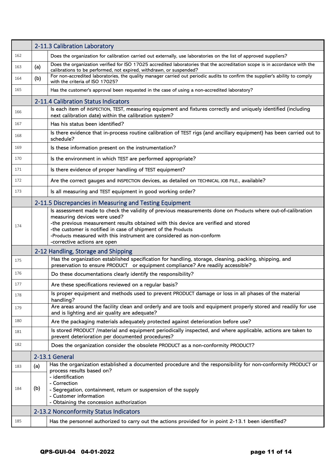|     |     | 2-11.3 Calibration Laboratory                                                                                                                                                                                                                                                                                                                                                                                |
|-----|-----|--------------------------------------------------------------------------------------------------------------------------------------------------------------------------------------------------------------------------------------------------------------------------------------------------------------------------------------------------------------------------------------------------------------|
| 162 |     | Does the organization for calibration carried out externally, use laboratories on the list of approved suppliers?                                                                                                                                                                                                                                                                                            |
| 163 | (a) | Does the organization verified for ISO 17025 accredited laboratories that the accreditation scope is in accordance with the<br>calibrations to be performed, not expired, withdrawn, or suspended?                                                                                                                                                                                                           |
| 164 | (b) | For non-accredited laboratories, the quality manager carried out periodic audits to confirm the supplier's ability to comply<br>with the criteria of ISO 17025?                                                                                                                                                                                                                                              |
| 165 |     | Has the customer's approval been requested in the case of using a non-accredited laboratory?                                                                                                                                                                                                                                                                                                                 |
|     |     | 2-11.4 Calibration Status Indicators                                                                                                                                                                                                                                                                                                                                                                         |
| 166 |     | Is each item of INSPECTION, TEST, measuring equipment and fixtures correctly and uniquely identified (including<br>next calibration date) within the calibration system?                                                                                                                                                                                                                                     |
| 167 |     | Has his status been identified?                                                                                                                                                                                                                                                                                                                                                                              |
| 168 |     | Is there evidence that in-process routine calibration of TEST rigs (and ancillary equipment) has been carried out to<br>schedule?                                                                                                                                                                                                                                                                            |
| 169 |     | Is these information present on the instrumentation?                                                                                                                                                                                                                                                                                                                                                         |
| 170 |     | Is the environment in which TEST are performed appropriate?                                                                                                                                                                                                                                                                                                                                                  |
| 171 |     | Is there evidence of proper handling of TEST equipment?                                                                                                                                                                                                                                                                                                                                                      |
| 172 |     | Are the correct gauges and INSPECTION devices, as detailed on TECHNICAL JOB FILE., available?                                                                                                                                                                                                                                                                                                                |
| 173 |     | Is all measuring and TEST equipment in good working order?                                                                                                                                                                                                                                                                                                                                                   |
|     |     | 2-11.5 Discrepancies in Measuring and Testing Equipment                                                                                                                                                                                                                                                                                                                                                      |
| 174 |     | Is assessment made to check the validity of previous measurements done on Products where out-of-calibration<br>measuring devices were used?<br>-the previous measurement results obtained with this device are verified and stored<br>-the customer is notified in case of shipment of the Products<br>-Products measured with this instrument are considered as non-conform<br>-corrective actions are open |
|     |     | 2-12 Handling, Storage and Shipping                                                                                                                                                                                                                                                                                                                                                                          |
| 175 |     | Has the organization established specification for handling, storage, cleaning, packing, shipping, and<br>preservation to ensure PRODUCT or equipment compliance? Are readily accessible?                                                                                                                                                                                                                    |
| 176 |     | Do these documentations clearly identify the responsibility?                                                                                                                                                                                                                                                                                                                                                 |
| 177 |     | Are these specifications reviewed on a regular basis?                                                                                                                                                                                                                                                                                                                                                        |
| 178 |     | Is proper equipment and methods used to prevent PRODUCT damage or loss in all phases of the material<br>handling?                                                                                                                                                                                                                                                                                            |
| 179 |     | Are areas around the facility clean and orderly and are tools and equipment properly stored and readily for use<br>and is lighting and air quality are adequate?                                                                                                                                                                                                                                             |
| 180 |     | Are the packaging materials adequately protected against deterioration before use?                                                                                                                                                                                                                                                                                                                           |
| 181 |     | Is stored PRODUCT /material and equipment periodically inspected, and where applicable, actions are taken to<br>prevent deterioration per documented procedures?                                                                                                                                                                                                                                             |
| 182 |     | Does the organization consider the obsolete PRODUCT as a non-conformity PRODUCT?                                                                                                                                                                                                                                                                                                                             |
|     |     | 2-13.1 General                                                                                                                                                                                                                                                                                                                                                                                               |
| 183 | (a) | Has the organization established a documented procedure and the responsibility for non-conformity PRODUCT or<br>process results based on?                                                                                                                                                                                                                                                                    |
| 184 | (b) | - identification<br>- Correction<br>- Segregation, containment, return or suspension of the supply<br>- Customer information<br>- Obtaining the concession authorization                                                                                                                                                                                                                                     |
|     |     | 2-13.2 Nonconformity Status Indicators                                                                                                                                                                                                                                                                                                                                                                       |
| 185 |     | Has the personnel authorized to carry out the actions provided for in point 2-13.1 been identified?                                                                                                                                                                                                                                                                                                          |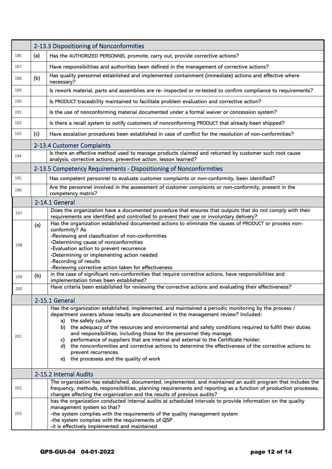|     | 2-13.3 Dispositioning of Nonconformities |                                                                                                                                                                                                                                                                                                                                                                                                                                                                                                                                                                                                                                                                                       |
|-----|------------------------------------------|---------------------------------------------------------------------------------------------------------------------------------------------------------------------------------------------------------------------------------------------------------------------------------------------------------------------------------------------------------------------------------------------------------------------------------------------------------------------------------------------------------------------------------------------------------------------------------------------------------------------------------------------------------------------------------------|
| 186 | (a)                                      | Has the AUTHORIZED PERSONNEL promote, carry out, provide corrective actions?                                                                                                                                                                                                                                                                                                                                                                                                                                                                                                                                                                                                          |
| 187 |                                          | Have responsibilities and authorities been defined in the management of corrective actions?                                                                                                                                                                                                                                                                                                                                                                                                                                                                                                                                                                                           |
| 188 | (b)                                      | Has quality personnel established and implemented containment (immediate) actions and effective where<br>necessary?                                                                                                                                                                                                                                                                                                                                                                                                                                                                                                                                                                   |
| 189 |                                          | Is rework material, parts and assemblies are re- inspected or re-tested to confirm compliance to requirements?                                                                                                                                                                                                                                                                                                                                                                                                                                                                                                                                                                        |
| 190 |                                          | Is PRODUCT traceability maintained to facilitate problem evaluation and corrective action?                                                                                                                                                                                                                                                                                                                                                                                                                                                                                                                                                                                            |
| 191 |                                          | Is the use of nonconforming material documented under a formal waiver or concession system?                                                                                                                                                                                                                                                                                                                                                                                                                                                                                                                                                                                           |
| 192 |                                          | Is there a recall system to notify customers of nonconforming PRODUCT that already been shipped?                                                                                                                                                                                                                                                                                                                                                                                                                                                                                                                                                                                      |
| 193 | (c)                                      | Have escalation procedures been established in case of conflict for the resolution of non-conformities?                                                                                                                                                                                                                                                                                                                                                                                                                                                                                                                                                                               |
|     |                                          | 2-13.4 Customer Complaints                                                                                                                                                                                                                                                                                                                                                                                                                                                                                                                                                                                                                                                            |
| 194 |                                          | Is there an effective method used to manage products claimed and returned by customer such root cause<br>analysis, corrective actions, preventive action, lesson learned?                                                                                                                                                                                                                                                                                                                                                                                                                                                                                                             |
|     |                                          | 2-13.5 Competency Requirements - Dispositioning of Nonconformities                                                                                                                                                                                                                                                                                                                                                                                                                                                                                                                                                                                                                    |
| 195 |                                          | Has competent personnel to evaluate customer complaints or non-conformity, been identified?                                                                                                                                                                                                                                                                                                                                                                                                                                                                                                                                                                                           |
| 196 |                                          | Are the personnel involved in the assessment of customer complaints or non-conformity, present in the<br>competency matrix?                                                                                                                                                                                                                                                                                                                                                                                                                                                                                                                                                           |
|     |                                          | 2-14.1 General                                                                                                                                                                                                                                                                                                                                                                                                                                                                                                                                                                                                                                                                        |
| 197 |                                          | Does the organization have a documented procedure that ensures that outputs that do not comply with their<br>requirements are identified and controlled to prevent their use or involuntary delivery?                                                                                                                                                                                                                                                                                                                                                                                                                                                                                 |
| 198 | (a)                                      | Has the organization established documented actions to eliminate the causes of PRODUCT or process non-<br>conformity? As<br>-Reviewing and classification of non-conformities<br>-Determining cause of nonconformities<br>-Evaluation action to prevent recurrence<br>-Determining or implementing action needed<br>-Recording of results<br>-Reviewing corrective action taken for effectiveness                                                                                                                                                                                                                                                                                     |
| 199 | (b)                                      | in the case of significant non-conformities that require corrective actions, have responsibilities and<br>implementation times been established?                                                                                                                                                                                                                                                                                                                                                                                                                                                                                                                                      |
| 200 |                                          | Have criteria been established for reviewing the corrective actions and evaluating their effectiveness?                                                                                                                                                                                                                                                                                                                                                                                                                                                                                                                                                                               |
|     |                                          | 2-15.1 General                                                                                                                                                                                                                                                                                                                                                                                                                                                                                                                                                                                                                                                                        |
| 201 |                                          | Has the organization established, implemented, and maintained a periodic monitoring by the process /<br>department owners whose results are documented in the management review? Included:<br>a) the safety culture<br>b) the adequacy of the resources and environmental and safety conditions required to fulfill their duties<br>and responsibilities, including those for the personnel they manage.<br>performance of suppliers that are internal and external to the Certificate Holder.<br>C)<br>d) the nonconformities and corrective actions to determine the effectiveness of the corrective actions to<br>prevent recurrences.<br>e) the processes and the quality of work |
|     |                                          | 2-15.2 Internal Audits                                                                                                                                                                                                                                                                                                                                                                                                                                                                                                                                                                                                                                                                |
| 202 |                                          | The organization has established, documented, implemented, and maintained an audit program that includes the<br>frequency, methods, responsibilities, planning requirements and reporting as a function of production processes,<br>changes affecting the organization and the results of previous audits?                                                                                                                                                                                                                                                                                                                                                                            |
| 203 |                                          | has the organization conducted internal audits at scheduled intervals to provide information on the quality<br>management system so that?<br>-the system complies with the requirements of the quality management system<br>-the system complies with the requirements of QSP<br>-it is effectively implemented and maintained                                                                                                                                                                                                                                                                                                                                                        |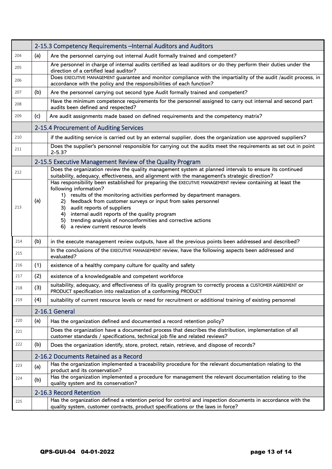|     | 2-15.3 Competency Requirements - Internal Auditors and Auditors |                                                                                                                                                                                                                                                                                                                                                                                                                                                                                                     |
|-----|-----------------------------------------------------------------|-----------------------------------------------------------------------------------------------------------------------------------------------------------------------------------------------------------------------------------------------------------------------------------------------------------------------------------------------------------------------------------------------------------------------------------------------------------------------------------------------------|
| 204 | (a)                                                             | Are the personnel carrying out internal Audit formally trained and competent?                                                                                                                                                                                                                                                                                                                                                                                                                       |
| 205 |                                                                 | Are personnel in charge of internal audits certified as lead auditors or do they perform their duties under the<br>direction of a certified lead auditor?                                                                                                                                                                                                                                                                                                                                           |
| 206 |                                                                 | Does EXECUTIVE MANAGEMENT guarantee and monitor compliance with the impartiality of the audit /audit process, in<br>accordance with the policy and the responsibilities of each function?                                                                                                                                                                                                                                                                                                           |
| 207 | (b)                                                             | Are the personnel carrying out second type Audit formally trained and competent?                                                                                                                                                                                                                                                                                                                                                                                                                    |
| 208 |                                                                 | Have the minimum competence requirements for the personnel assigned to carry out internal and second part<br>audits been defined and respected?                                                                                                                                                                                                                                                                                                                                                     |
| 209 | (c)                                                             | Are audit assignments made based on defined requirements and the competency matrix?                                                                                                                                                                                                                                                                                                                                                                                                                 |
|     |                                                                 | 2-15.4 Procurement of Auditing Services                                                                                                                                                                                                                                                                                                                                                                                                                                                             |
| 210 |                                                                 | if the auditing service is carried out by an external supplier, does the organization use approved suppliers?                                                                                                                                                                                                                                                                                                                                                                                       |
| 211 |                                                                 | Does the supplier's personnel responsible for carrying out the audits meet the requirements as set out in point<br>$2 - 5.3?$                                                                                                                                                                                                                                                                                                                                                                       |
|     |                                                                 | 2-15.5 Executive Management Review of the Quality Program                                                                                                                                                                                                                                                                                                                                                                                                                                           |
| 212 |                                                                 | Does the organization review the quality management system at planned intervals to ensure its continued<br>suitability, adequacy, effectiveness, and alignment with the management's strategic direction?                                                                                                                                                                                                                                                                                           |
| 213 | (a)                                                             | Has responsibility been established for preparing the EXECUTIVE MANAGEMENT review containing at least the<br>following information?<br>results of the monitoring activities performed by department managers.<br>1)<br>feedback from customer surveys or input from sales personnel<br>2)<br>audit reports of suppliers<br>3)<br>internal audit reports of the quality program<br>4)<br>trending analysis of nonconformities and corrective actions<br>5)<br>a review current resource levels<br>6) |
| 214 | (b)                                                             | in the execute management review outputs, have all the previous points been addressed and described?                                                                                                                                                                                                                                                                                                                                                                                                |
| 215 |                                                                 | In the conclusions of the EXECUTIVE MANAGEMENT review, have the following aspects been addressed and<br>evaluated?                                                                                                                                                                                                                                                                                                                                                                                  |
| 216 | (1)                                                             | existence of a healthy company culture for quality and safety                                                                                                                                                                                                                                                                                                                                                                                                                                       |
| 217 | (2)                                                             | existence of a knowledgeable and competent workforce                                                                                                                                                                                                                                                                                                                                                                                                                                                |
| 218 | (3)                                                             | suitability, adequacy, and effectiveness of its quality program to correctly process a CUSTOMER AGREEMENT or<br>PRODUCT specification into realization of a conforming PRODUCT                                                                                                                                                                                                                                                                                                                      |
| 219 | (4)                                                             | suitability of current resource levels or need for recruitment or additional training of existing personnel                                                                                                                                                                                                                                                                                                                                                                                         |
|     |                                                                 | 2-16.1 General                                                                                                                                                                                                                                                                                                                                                                                                                                                                                      |
| 220 | (a)                                                             | Has the organization defined and documented a record retention policy?                                                                                                                                                                                                                                                                                                                                                                                                                              |
| 221 |                                                                 | Does the organization have a documented process that describes the distribution, implementation of all<br>customer standards / specifications, technical job file and related reviews?                                                                                                                                                                                                                                                                                                              |
| 222 | (b)                                                             | Does the organization identify, store, protect, retain, retrieve, and dispose of records?                                                                                                                                                                                                                                                                                                                                                                                                           |
|     | 2-16.2 Documents Retained as a Record                           |                                                                                                                                                                                                                                                                                                                                                                                                                                                                                                     |
| 223 | (a)                                                             | Has the organization implemented a traceability procedure for the relevant documentation relating to the<br>product and its conservation?                                                                                                                                                                                                                                                                                                                                                           |
| 224 | (b)                                                             | Has the organization implemented a procedure for management the relevant documentation relating to the<br>quality system and its conservation?                                                                                                                                                                                                                                                                                                                                                      |
|     | 2-16.3 Record Retention                                         |                                                                                                                                                                                                                                                                                                                                                                                                                                                                                                     |
| 225 |                                                                 | Has the organization defined a retention period for control and inspection documents in accordance with the<br>quality system, customer contracts, product specifications or the laws in force?                                                                                                                                                                                                                                                                                                     |